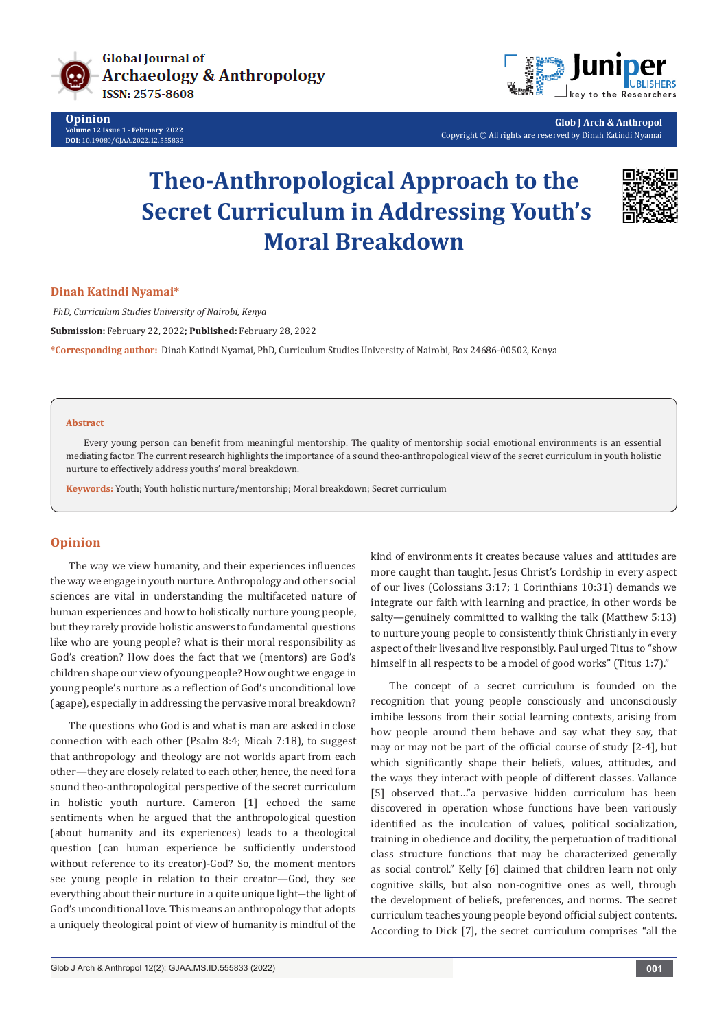

**Opinion Volume 12 Issue 1 - February 2022 DOI**: [10.19080/GJAA.2022.12.5558](http://dx.doi.org/10.19080/GJAA.2021.12.555833)33



**Glob J Arch & Anthropol** Copyright © All rights are reserved by Dinah Katindi Nyamai

# **Theo-Anthropological Approach to the Secret Curriculum in Addressing Youth's Moral Breakdown**



**Dinah Katindi Nyamai\***

 *PhD, Curriculum Studies University of Nairobi, Kenya*

**Submission:** February 22, 2022**; Published:** February 28, 2022

**\*Corresponding author:** Dinah Katindi Nyamai, PhD, Curriculum Studies University of Nairobi, Box 24686-00502, Kenya

#### **Abstract**

Every young person can benefit from meaningful mentorship. The quality of mentorship social emotional environments is an essential mediating factor. The current research highlights the importance of a sound theo-anthropological view of the secret curriculum in youth holistic nurture to effectively address youths' moral breakdown.

**Keywords:** Youth; Youth holistic nurture/mentorship; Moral breakdown; Secret curriculum

# **Opinion**

The way we view humanity, and their experiences influences the way we engage in youth nurture. Anthropology and other social sciences are vital in understanding the multifaceted nature of human experiences and how to holistically nurture young people, but they rarely provide holistic answers to fundamental questions like who are young people? what is their moral responsibility as God's creation? How does the fact that we (mentors) are God's children shape our view of young people? How ought we engage in young people's nurture as a reflection of God's unconditional love (agape), especially in addressing the pervasive moral breakdown?

The questions who God is and what is man are asked in close connection with each other (Psalm 8:4; Micah 7:18), to suggest that anthropology and theology are not worlds apart from each other—they are closely related to each other, hence, the need for a sound theo-anthropological perspective of the secret curriculum in holistic youth nurture. Cameron [1] echoed the same sentiments when he argued that the anthropological question (about humanity and its experiences) leads to a theological question (can human experience be sufficiently understood without reference to its creator)-God? So, the moment mentors see young people in relation to their creator—God, they see everything about their nurture in a quite unique light-the light of God's unconditional love. This means an anthropology that adopts a uniquely theological point of view of humanity is mindful of the

kind of environments it creates because values and attitudes are more caught than taught. Jesus Christ's Lordship in every aspect of our lives (Colossians 3:17; 1 Corinthians 10:31) demands we integrate our faith with learning and practice, in other words be salty—genuinely committed to walking the talk (Matthew 5:13) to nurture young people to consistently think Christianly in every aspect of their lives and live responsibly. Paul urged Titus to "show himself in all respects to be a model of good works" (Titus 1:7)."

The concept of a secret curriculum is founded on the recognition that young people consciously and unconsciously imbibe lessons from their social learning contexts, arising from how people around them behave and say what they say, that may or may not be part of the official course of study [2-4], but which significantly shape their beliefs, values, attitudes, and the ways they interact with people of different classes. Vallance [5] observed that…"a pervasive hidden curriculum has been discovered in operation whose functions have been variously identified as the inculcation of values, political socialization, training in obedience and docility, the perpetuation of traditional class structure functions that may be characterized generally as social control." Kelly [6] claimed that children learn not only cognitive skills, but also non-cognitive ones as well, through the development of beliefs, preferences, and norms. The secret curriculum teaches young people beyond official subject contents. According to Dick [7], the secret curriculum comprises "all the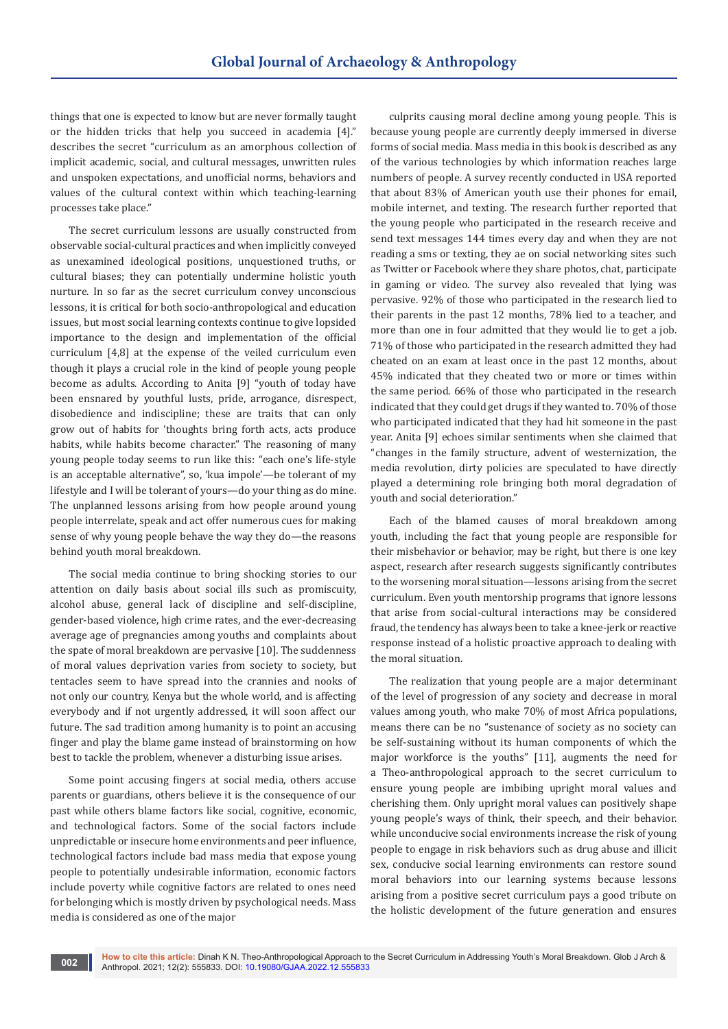things that one is expected to know but are never formally taught or the hidden tricks that help you succeed in academia [4]." describes the secret "curriculum as an amorphous collection of implicit academic, social, and cultural messages, unwritten rules and unspoken expectations, and unofficial norms, behaviors and values of the cultural context within which teaching-learning processes take place."

The secret curriculum lessons are usually constructed from observable social-cultural practices and when implicitly conveyed as unexamined ideological positions, unquestioned truths, or cultural biases; they can potentially undermine holistic youth nurture. In so far as the secret curriculum convey unconscious lessons, it is critical for both socio-anthropological and education issues, but most social learning contexts continue to give lopsided importance to the design and implementation of the official curriculum [4,8] at the expense of the veiled curriculum even though it plays a crucial role in the kind of people young people become as adults. According to Anita [9] "youth of today have been ensnared by youthful lusts, pride, arrogance, disrespect, disobedience and indiscipline; these are traits that can only grow out of habits for 'thoughts bring forth acts, acts produce habits, while habits become character." The reasoning of many young people today seems to run like this: "each one's life-style is an acceptable alternative", so, 'kua impole'—be tolerant of my lifestyle and I will be tolerant of yours—do your thing as do mine. The unplanned lessons arising from how people around young people interrelate, speak and act offer numerous cues for making sense of why young people behave the way they do—the reasons behind youth moral breakdown.

The social media continue to bring shocking stories to our attention on daily basis about social ills such as promiscuity, alcohol abuse, general lack of discipline and self-discipline, gender-based violence, high crime rates, and the ever-decreasing average age of pregnancies among youths and complaints about the spate of moral breakdown are pervasive [10]. The suddenness of moral values deprivation varies from society to society, but tentacles seem to have spread into the crannies and nooks of not only our country, Kenya but the whole world, and is affecting everybody and if not urgently addressed, it will soon affect our future. The sad tradition among humanity is to point an accusing finger and play the blame game instead of brainstorming on how best to tackle the problem, whenever a disturbing issue arises.

Some point accusing fingers at social media, others accuse parents or guardians, others believe it is the consequence of our past while others blame factors like social, cognitive, economic, and technological factors. Some of the social factors include unpredictable or insecure home environments and peer influence, technological factors include bad mass media that expose young people to potentially undesirable information, economic factors include poverty while cognitive factors are related to ones need for belonging which is mostly driven by psychological needs. Mass media is considered as one of the major

culprits causing moral decline among young people. This is because young people are currently deeply immersed in diverse forms of social media. Mass media in this book is described as any of the various technologies by which information reaches large numbers of people. A survey recently conducted in USA reported that about 83% of American youth use their phones for email, mobile internet, and texting. The research further reported that the young people who participated in the research receive and send text messages 144 times every day and when they are not reading a sms or texting, they ae on social networking sites such as Twitter or Facebook where they share photos, chat, participate in gaming or video. The survey also revealed that lying was pervasive. 92% of those who participated in the research lied to their parents in the past 12 months, 78% lied to a teacher, and more than one in four admitted that they would lie to get a job. 71% of those who participated in the research admitted they had cheated on an exam at least once in the past 12 months, about 45% indicated that they cheated two or more or times within the same period. 66% of those who participated in the research indicated that they could get drugs if they wanted to. 70% of those who participated indicated that they had hit someone in the past year. Anita [9] echoes similar sentiments when she claimed that "changes in the family structure, advent of westernization, the media revolution, dirty policies are speculated to have directly played a determining role bringing both moral degradation of youth and social deterioration."

Each of the blamed causes of moral breakdown among youth, including the fact that young people are responsible for their misbehavior or behavior, may be right, but there is one key aspect, research after research suggests significantly contributes to the worsening moral situation—lessons arising from the secret curriculum. Even youth mentorship programs that ignore lessons that arise from social-cultural interactions may be considered fraud, the tendency has always been to take a knee-jerk or reactive response instead of a holistic proactive approach to dealing with the moral situation.

The realization that young people are a major determinant of the level of progression of any society and decrease in moral values among youth, who make 70% of most Africa populations, means there can be no "sustenance of society as no society can be self-sustaining without its human components of which the major workforce is the youths" [11], augments the need for a Theo-anthropological approach to the secret curriculum to ensure young people are imbibing upright moral values and cherishing them. Only upright moral values can positively shape young people's ways of think, their speech, and their behavior. while unconducive social environments increase the risk of young people to engage in risk behaviors such as drug abuse and illicit sex, conducive social learning environments can restore sound moral behaviors into our learning systems because lessons arising from a positive secret curriculum pays a good tribute on the holistic development of the future generation and ensures